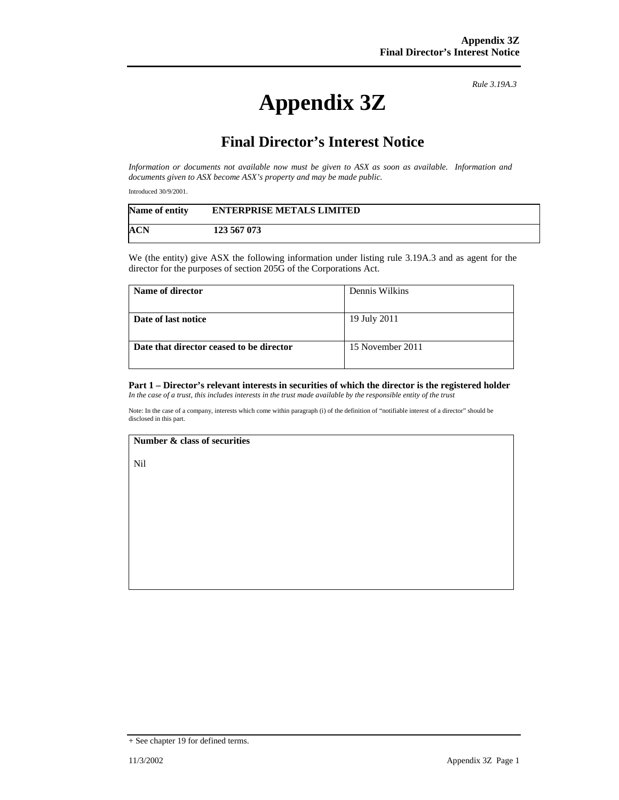*Rule 3.19A.3*

# **Appendix 3Z**

## **Final Director's Interest Notice**

*Information or documents not available now must be given to ASX as soon as available. Information and documents given to ASX become ASX's property and may be made public.* 

Introduced 30/9/2001.

| <b>Name of entity</b> | <b>ENTERPRISE METALS LIMITED</b> |
|-----------------------|----------------------------------|
| ACN                   | 123 567 073                      |

We (the entity) give ASX the following information under listing rule 3.19A.3 and as agent for the director for the purposes of section 205G of the Corporations Act.

| Name of director                         | Dennis Wilkins   |
|------------------------------------------|------------------|
| Date of last notice                      | 19 July 2011     |
| Date that director ceased to be director | 15 November 2011 |

#### **Part 1 – Director's relevant interests in securities of which the director is the registered holder** *In the case of a trust, this includes interests in the trust made available by the responsible entity of the trust*

Note: In the case of a company, interests which come within paragraph (i) of the definition of "notifiable interest of a director" should be disclosed in this part.

#### **Number & class of securities**

Nil

<sup>+</sup> See chapter 19 for defined terms.